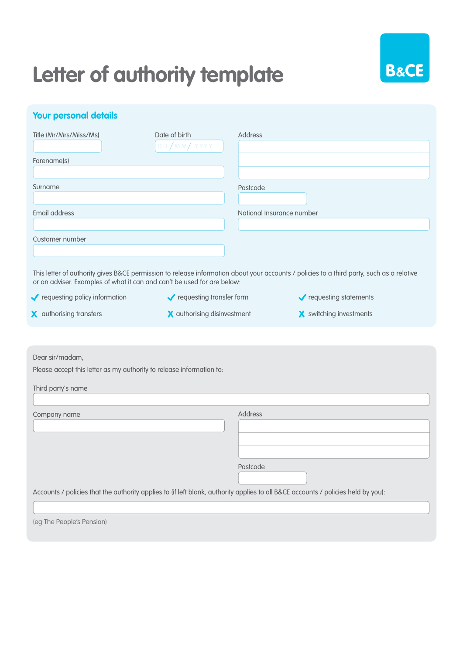## **Letter of authority template**



## **Your personal details**

| Title (Mr/Mrs/Miss/Ms)                                                                                                                                                                                               | Date of birth               | <b>Address</b>            |                                |  |  |  |
|----------------------------------------------------------------------------------------------------------------------------------------------------------------------------------------------------------------------|-----------------------------|---------------------------|--------------------------------|--|--|--|
|                                                                                                                                                                                                                      | DD/MM/ YYYY                 |                           |                                |  |  |  |
| Forename(s)                                                                                                                                                                                                          |                             |                           |                                |  |  |  |
|                                                                                                                                                                                                                      |                             |                           |                                |  |  |  |
| Surname                                                                                                                                                                                                              |                             | Postcode                  |                                |  |  |  |
|                                                                                                                                                                                                                      |                             |                           |                                |  |  |  |
| Email address                                                                                                                                                                                                        |                             | National Insurance number |                                |  |  |  |
|                                                                                                                                                                                                                      |                             |                           |                                |  |  |  |
| Customer number                                                                                                                                                                                                      |                             |                           |                                |  |  |  |
|                                                                                                                                                                                                                      |                             |                           |                                |  |  |  |
|                                                                                                                                                                                                                      |                             |                           |                                |  |  |  |
| This letter of authority gives B&CE permission to release information about your accounts / policies to a third party, such as a relative<br>or an adviser. Examples of what it can and can't be used for are below: |                             |                           |                                |  |  |  |
| requesting policy information                                                                                                                                                                                        | requesting transfer form    |                           | requesting statements          |  |  |  |
| X authorising transfers                                                                                                                                                                                              | X authorising disinvestment |                           | <b>X</b> switching investments |  |  |  |
|                                                                                                                                                                                                                      |                             |                           |                                |  |  |  |

Dear sir/madam,

Third party's name

Please accept this letter as my authority to release information to:

| Company name                                                                                                                      | <b>Address</b> |  |  |
|-----------------------------------------------------------------------------------------------------------------------------------|----------------|--|--|
|                                                                                                                                   |                |  |  |
|                                                                                                                                   |                |  |  |
|                                                                                                                                   |                |  |  |
|                                                                                                                                   | Postcode       |  |  |
|                                                                                                                                   |                |  |  |
| Accounts / policies that the authority applies to (if left blank, authority applies to all B&CE accounts / policies held by you): |                |  |  |

(eg The People's Pension)